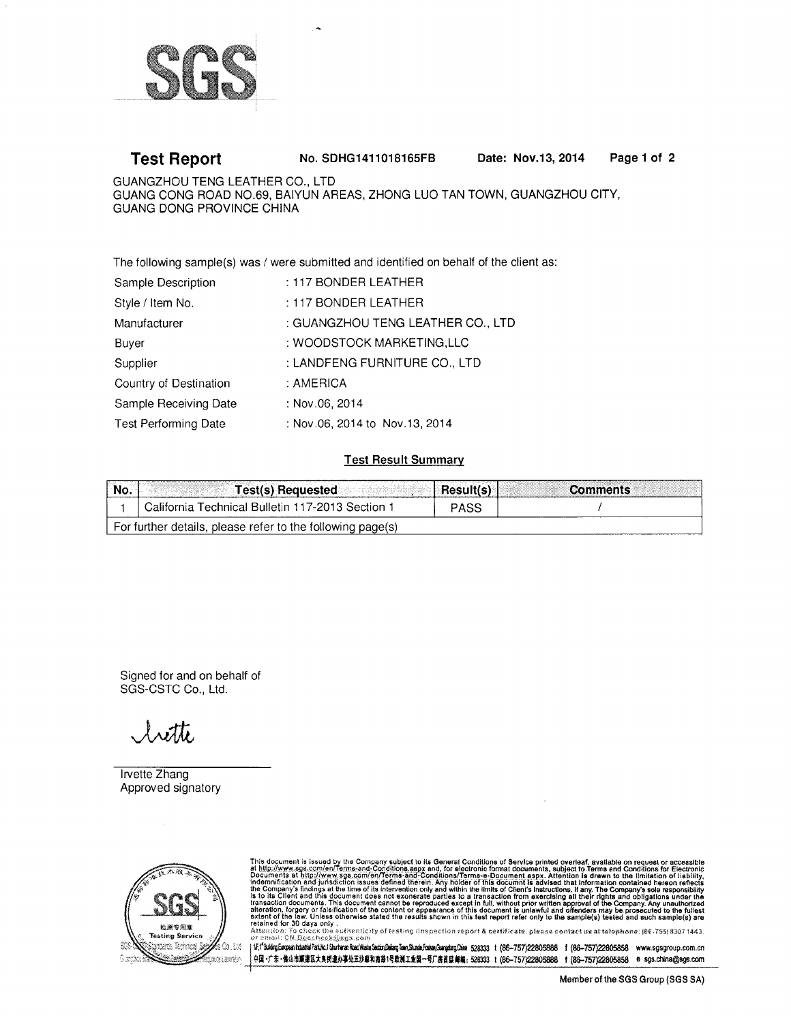

#### Page 1 of 2 **Test Report** No. SDHG1411018165FB Date: Nov.13, 2014

GUANGZHOU TENG LEATHER CO., LTD GUANG CONG ROAD NO.69, BAIYUN AREAS, ZHONG LUO TAN TOWN, GUANGZHOU CITY, GUANG DONG PROVINCE CHINA

The following sample(s) was / were submitted and identified on behalf of the client as:

| Sample Description     | : 117 BONDER LEATHER              |
|------------------------|-----------------------------------|
| Style / Item No.       | : 117 BONDER LEATHER              |
| Manufacturer           | : GUANGZHOU TENG LEATHER CO., LTD |
| Buyer                  | : WOODSTOCK MARKETING,LLC         |
| Supplier               | : LANDFENG FURNITURE CO., LTD     |
| Country of Destination | : AMERICA                         |
| Sample Receiving Date  | : Nov.06, 2014                    |
| Test Performing Date   | : Nov.06, 2014 to Nov.13, 2014    |

### **Test Result Summary**

| No.                                                        | Test(s) Requested                              | <b>Result(s)</b> | <b>Comments</b> |  |  |  |
|------------------------------------------------------------|------------------------------------------------|------------------|-----------------|--|--|--|
|                                                            | California Technical Bulletin 117-2013 Section | <b>PASS</b>      |                 |  |  |  |
| For further details, please refer to the following page(s) |                                                |                  |                 |  |  |  |

Signed for and on behalf of SGS-CSTC Co., Ltd.

 $\lambda$ with

Irvette Zhang Approved signatory



This document is issued by the Company subject to its General Conditions of Service printed overleaf, available on request or accessible at http://www.sge.com/en/Terms-and-Conditions.aspx and, for electronic format docume

| if;" bidiq Eutosa hdata Pakki Shrhma Roal Mata Sadin Dalan Dang Dang Juma fodea (disha \$2833 t (86-757)22805858 f (86-757)22805858 www.sgsgroup.com.cn 中国·广东·像山市顺藩区大良街道办事处五沙草和南路1号欧洲工业园一号厂房首昆 邮编:528333 t (86-757)22805888 t (86-757)22805858 e sgs.china@sgs.com